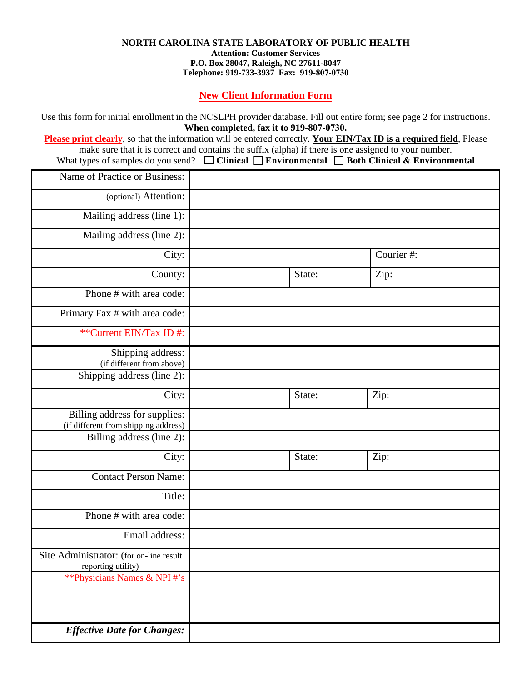## **NORTH CAROLINA STATE LABORATORY OF PUBLIC HEALTH**

**Attention: Customer Services P.O. Box 28047, Raleigh, NC 27611-8047 Telephone: 919-733-3937 Fax: 919-807-0730**

**New Client Information Form**

Use this form for initial enrollment in the NCSLPH provider database. Fill out entire form; see page 2 for instructions. **When completed, fax it to 919-807-0730.**

**Please print clearly**, so that the information will be entered correctly. **Your EIN/Tax ID is a required field**, Please make sure that it is correct and contains the suffix (alpha) if there is one assigned to your number. What types of samples do you send?  $\Box$  **Clinical**  $\Box$  **Environmental**  $\Box$  **Both Clinical** & **Environmental** 

| Name of Practice or Business:                                         |        |           |
|-----------------------------------------------------------------------|--------|-----------|
| (optional) Attention:                                                 |        |           |
| Mailing address (line 1):                                             |        |           |
| Mailing address (line 2):                                             |        |           |
| City:                                                                 |        | Courier#: |
| County:                                                               | State: | Zip:      |
| Phone # with area code:                                               |        |           |
| Primary Fax # with area code:                                         |        |           |
| **Current EIN/Tax ID#:                                                |        |           |
| Shipping address:<br>(if different from above)                        |        |           |
| Shipping address (line 2):                                            |        |           |
| City:                                                                 | State: | Zip:      |
| Billing address for supplies:<br>(if different from shipping address) |        |           |
| Billing address (line 2):                                             |        |           |
| City:                                                                 | State: | Zip:      |
| <b>Contact Person Name:</b>                                           |        |           |
| Title:                                                                |        |           |
| Phone $\#$ with area code:                                            |        |           |
| Email address:                                                        |        |           |
| Site Administrator: (for on-line result<br>reporting utility)         |        |           |
| ** Physicians Names & NPI #'s                                         |        |           |
|                                                                       |        |           |
| <b>Effective Date for Changes:</b>                                    |        |           |